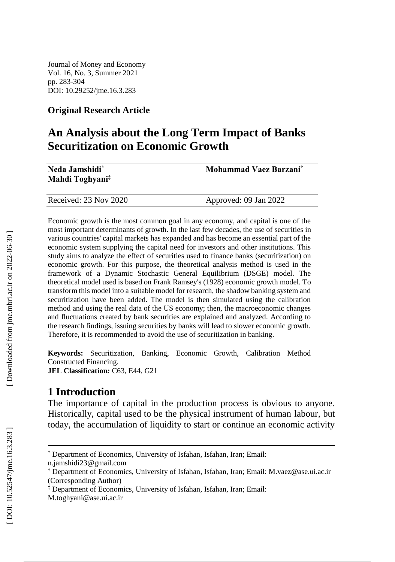Journal of Money and Economy Vol. 16, No. 3, Summer 2021 pp. 283 -304 DOI: 10.29252/jme.16. 3 .283

#### **Original Research Article**

# **An Analysis about the Long Term Impact of Banks Securitization on Economic Growth**

| Neda Jamshidi*<br>Mahdi Toghyani <sup>‡</sup> | Mohammad Vaez Barzani <sup>†</sup> |
|-----------------------------------------------|------------------------------------|
| Received: 23 Nov 2020                         | Approved: 09 Jan 2022              |

Economic growth is the most common goal in any economy, and capital is one of the most important determinants of growth. In the last few decades, the use of securities in various countries' capital markets has expanded and has become an essential part of the economic system supplying the capital need for investors and other institutions. This study aims to analyze the effect of securities used to finance banks (securitization) on economic growth. For this purpose, the theoretical analysis method is used in the framework of a Dynamic Stochastic General Equilibrium (DSGE) model. The theoretical model used is based on Frank Ramsey's (1928) economic growth model. To transform this model into a suitable model for research, the shadow banking system and securitization have been added. The model is then simulated using the calibration method and using the real data of the US economy; then, the macroeconomic changes and fluctuations created by bank securities are explained and analyzed. According to the research findings, issuing securities by banks will lead to slower economic growth. Therefore, it is recommended to avoid the use of securitization in banking.

**Keywords:** Securitization, Banking, Economic Growth, Calibration Method Constructed Financing. **JEL Classification** *:* C63, E44, G21

## **1 Introduction**

The importance of capital in the production process is obvious to anyone. Historically, capital used to be the physical instrument of human labour, but today, the accumulation of liquidity to start or continue an economic activity

 $\overline{a}$ 

<sup>\*</sup> Department of Economics, University of Isfahan, Isfahan, Iran; Email:

[n.jamshidi23@gmail.com](mailto:n.jamshidi23@gmail.com)

<sup>†</sup> Department of Economics, University of Isfahan, Isfahan, Iran; Email: M.vaez@ase.ui.ac.ir (Corresponding Author)

<sup>‡</sup> Department of Economics, University of Isfahan, Isfahan, Iran; Email:

[M.toghyani@ase.ui.ac.ir](mailto:M.toghyani@ase.ui.ac.ir)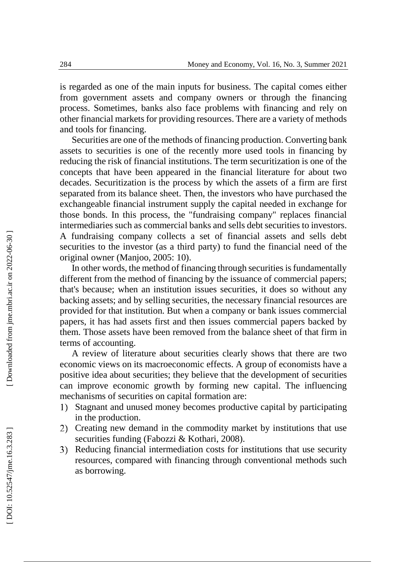is regarded as one of the main inputs for business. The capital comes either from government assets and company owners or through the financing process. Sometimes, banks also face problems with financing and rely on other financial markets for providing resources. There are a variety of methods and tools for financing.

Securities are one of the methods of financing production. Converting bank assets to securities is one of the recently more used tools in financing by reducing the risk of financial institutions. The term securitization is one of the concepts that have been appeared in the financial literature for about two decades. Securitization is the process by which the assets of a firm are first separated from its balance sheet. Then, the investors who have purchased the exchangeable financial instrument supply the capital needed in exchange for those bonds. In this process, the "fundraising company" replaces financial intermediaries such as commercial banks and sells debt securities to investors. A fundraising company collects a set of financial assets and sells debt securities to the investor (as a third party) to fund the financial need of the original owner (Manjoo, 2005: 10).

In other words, the method of financing through securities is fundamentally different from the method of financing by the issuance of commercial papers; that's because; when an institution issues securities, it does so without any backing assets; and by selling securities, the necessary financial resources are provided for that institution. But when a company or bank issues commercial papers, it has had assets first and then issues commercial papers backed by them. Those assets have been removed from the balance sheet of that firm in terms of accounting.

A review of literature about securities clearly shows that there are two economic views on its macroeconomic effects. A group of economists have a positive idea about securities; they believe that the development of securities can improve economic growth by forming new capital. The influencing mechanisms of securities on capital formation are:

- 1) Stagnant and unused money becomes productive capital by participating in the production.
- 2) Creating new demand in the commodity market by institutions that use securities funding (Fabozzi & Kothari, 2008).
- 3) Reducing financial intermediation costs for institutions that use security resources, compared with financing through conventional methods such as borrowing.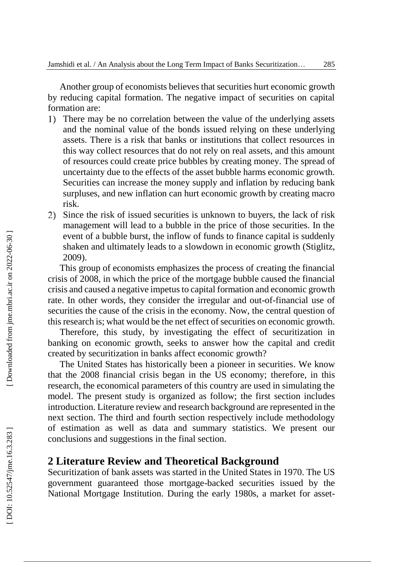Another group of economists believe s that securities hurt economic growth by reducing capital formation. The negative impact of securities on capital formation are:

- 1) There may be no correlation between the value of the underlying assets and the nominal value of the bonds issued relying on these underlying assets. There is a risk that banks or institutions that collect resources in this way collect resources that do not rely on real assets, and this amount of resources could create price bubbles by creating money. The spread of uncertainty due to the effects of the asset bubble harms economic growth. Securities can increase the money supply and inflation by reducing bank surpluses, and new inflation can hurt economic growth by creating macro risk.
- 2) Since the risk of issued securities is unknown to buyers, the lack of risk management will lead to a bubble in the price of those securities. In the event of a bubble burst, the inflow of funds to finance capital is suddenly shaken and ultimately leads to a slowdown in economic growth (Stiglitz, 2009) .

This group of economists emphasizes the process of creating the financial crisis of 2008, in which the price of the mortgage bubble caused the financial crisis and caused a negative impetus to capital formation and economic growth rate. In other words, they consider the irregular and out-of-financial use of securities the cause of the crisis in the economy. Now, the central question of this research is; what would be the net effect of securities on economic growth.

Therefore, this study , by investigating the effect of securitization in banking on economic growth, seeks to answer how the capital and credit created by securitization in banks affect economic growth?

The United States has historically been a pioneer in securities. We know that the 2008 financial crisis began in the US economy; therefore, in this research, the economical parameters of this country are used in simulating the model. The present study is organized as follow; the first section includes introduction. Literature review and research background are represented in the next section . The third and fourth section respectively include methodology of estimation as well as data and summary statistics . We present our conclusions and suggestions in the final section .

#### **2 Literature Review and Theoretical Background**

Securitization of bank assets was started in the United States in 1970. The US government guaranteed those mortgage -backed securities issued by the National Mortgage Institution. During the early 1980s, a market for asset -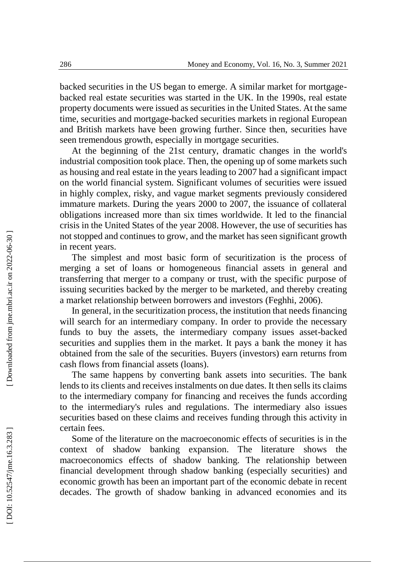backed securities in the US began to emerge. A similar market for mortgage backed real estate securities was started in the UK. In the 1990s, real estate property documents were issued as securities in the United States. At the same time, securities and mortgage -backed securities markets in regional European and British markets have been growing further. Since then, securities have seen tremendous growth, especially in mortgage securities.

At the beginning of the 21st century, dramatic changes in the world's industrial composition took place. Then, the opening up of some markets such as housing and real estate in the years leading to 2007 had a significant impact on the world financial system. Significant volumes of securities were issued in highly complex, risky, and vague market segments previously considered immature markets. During the years 2000 to 2007, the issuance of collateral obligations increased more than six times worldwide. It led to the financial crisis in the United States of the year 2008. However, the use of securities has not stopped and continues to grow, and the market has seen significant growth in recent years.

The simplest and most basic form of securitization is the process of merging a set of loans or homogeneous financial assets in general and transferring that merger to a company or trust, with the specific purpose of issuing securities backed by the merger to be marketed , and thereby creating a market relationship between borrowers and investors (Feghhi, 2006).

In general, in the securitization process, the institution that needs financing will search for an intermediary company. In order to provide the necessary funds to buy the assets, the intermediary company issues asset-backed securities and supplies them in the market. It pays a bank the money it has obtained from the sale of the securities. Buyers (investors) earn returns from cash flows from financial assets (loans).

The same happens by converting bank assets into securities. The bank lends to its clients and receives insta lments on due dates. It then sells its claims to the intermediary company for financing and receives the funds according to the intermediary's rules and regulations. The intermediary also issues securities based on these claims and receives funding through this activity in certain fees.

Some of the literature on the macroeconomic effects of securities is in the context of shadow banking expansion. The literature shows the macroeconomics effects of shadow banking. The relationship between financial development through shadow banking (especially securities) and economic growth has been an important part of the economic debate in recent decades. The growth of shadow banking in advanced economies and its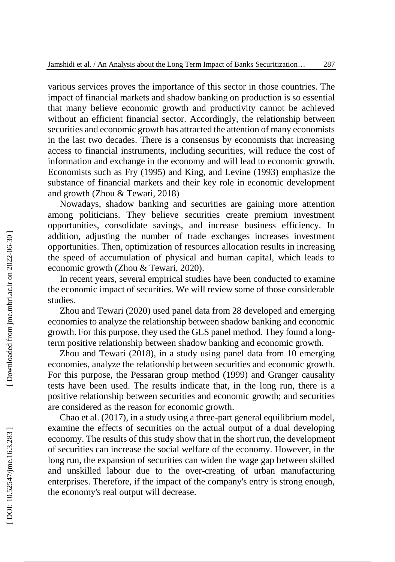various services proves the importance of this sector in those countries. The impact of financial markets and shadow banking on production is so essential that many believe economic growth and productivity cannot be achieved without an efficient financial sector. Accordingly, the relationship between securities and economic growth has attracted the attention of many economists in the last two decades. There is a consensus by economists that increasing access to financial instruments, including securities, will reduce the cost of information and exchange in the economy and will lead to economic growth. Economists such as Fry (1995) and King, and Levine (1993) emphasize the substance of financial markets and their key role in economic development and growth (Zhou & Tewari, 2018)

Nowadays, shadow banking and securities are gaining more attention among politicians. They believe securities create premium investment opportunities, consolidate savings, and increase business efficiency. In addition, adjusting the number of trade exchanges increases investment opportunities. Then, optimization of resources allocation results in increasing the speed of accumulation of physical and human capital, which leads to economic growth (Zhou & Tewari, 2020).

In recent years, several empirical studies have been conducted to examine the economic impact of securities. We will review some of those considerable studies.

Zhou and Tewari (2020) used panel data from 28 developed and emerging economies to analyze the relationship between shadow banking and economic growth. For this purpose, they used the GLS panel method. They found a long term positive relationship between shadow banking and economic growth.

Zhou and Tewari (2018), in a study using panel data from 10 emerging economies, analyze the relationship between securities and economic growth. For this purpose, the Pessaran group method (1999) and Granger causality tests have been used. The results indicate that, in the long run, there is a positive relationship between securities and economic growth; and securities are considered as the reason for economic growth.

Chao et al. (2017), in a study using a three -part general equilibrium model, examine the effects of securities on the actual output of a dual developing economy. The results of this study show that in the short run, the development of securities can increase the social welfare of the economy. However, in the long run, the expansion of securities can widen the wage gap between skilled and unskilled labour due to the over -creating of urban manufacturing enterprises. Therefore, if the impact of the company's entry is strong enough, the economy's real output will decrease.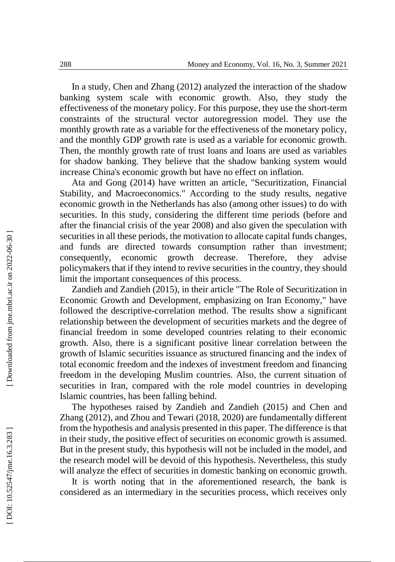In a study, Chen and Zhang (2012) analyzed the interaction of the shadow banking system scale with economic growth. Also, they study the effectiveness of the monetary policy. For this purpose, they use the short -term constraints of the structural vector autoregression model. They use the monthly growth rate as a variable for the effectiveness of the monetary policy, and the monthly GDP growth rate is used as a variable for economic growth. Then, the monthly growth rate of trust loans and loans are used as variables for shadow banking. They believe that the shadow banking system would increase China's economic growth but have no effect on inflation.

Ata and Gong (2014) have written an article, "Securitization, Financial Stability, and Macroeconomics." According to the study results, negative economic growth in the Netherlands has also (among other issues) to do with securities. In this study, considering the different time periods (before and after the financial crisis of the year 2008) and also given the speculation with securities in all these periods, the motivation to allocate capital funds changes, and funds are directed towards consumption rather than investment; consequently, economic growth decrease. Therefore, they advise policymakers that if they intend to revive securities in the country, they should limit the important consequences of this process.

Zandieh and Zandieh (2015), in their article "The Role of Securitization in Economic Growth and Development, emphasizing on Iran Economy," have followed the descriptive -correlation method. The results show a significant relationship between the development of securities markets and the degree of financial freedom in some developed countries relating to their economic growth. Also, there is a significant positive linear correlation between the growth of Islamic securities issuance as structured financing and the index of total economic freedom and the indexes of investment freedom and financing freedom in the developing Muslim countries. Also, the current situation of securities in Iran, compared with the role model countries in developing Islamic countries, has been falling behind.

The hypotheses raised by Zandieh and Zandieh (2015 ) and Chen and Zhang (2012), and Zhou and Tewari (2018, 2020) are fundamentally different from the hypothesis and analysis presented in this paper. The difference is that in their study, the positive effect of securities on economic growth is assumed. But in the present study, this hypothesis will not be included in the model, and the research model will be devoid of this hypothesis. Nevertheless, this study will analyze the effect of securities in domestic banking on economic growth.

It is worth noting that in the aforementioned research, the bank is considered as an intermediary in the securities process, which receives only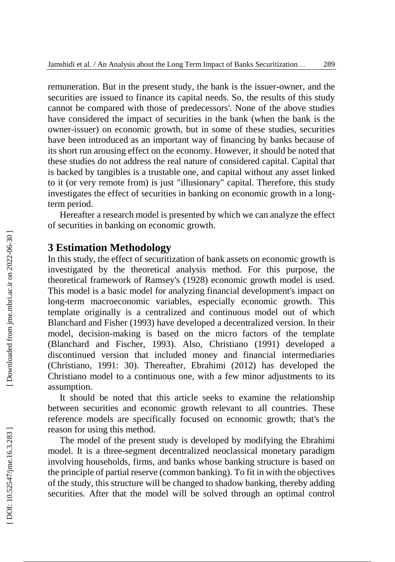remuneration. But in the present study, the bank is the issuer -owner , and the securities are issued to finance its capital needs. So, the results of this study cannot be compared with those of predecessors'. None of the above studies have considered the impact of securities in the bank (when the bank is the owner -issuer) on economic growth, but in some of these studies , securities have been introduced as an important way of financing by banks because of its short run arousing effect on the economy. However, it should be noted that these studies do not address the real nature of considered capital. Capital that is backed by tangibles is a trustable one , and capital without any asset linked to it (or very remote from) is just "illusionary " capital. Therefore, this study investigates the effect of securities in banking on economic growth in a long term period.

Hereafter a research model is presented by which we can analy ze the effect of securities in banking on economic growth.

#### **3 Estimation Methodology**

In this study, the effect of securitization of bank assets on economic growth is investigated by the theoretical analysis method. For this purpose, the theoretical framework of Ramsey's (1928) economic growth model is used. This model is a basic model for analyzing financial development's impact on long -term macroeconomic variables, especially economic growth. This template originally is a centralized and continuous model out of which Blanchard and Fisher (1993) have developed a decentralized version. In their model, decision -making is based on the micro factors of the template (Blanchard and Fischer, 1993). Also, Christiano (1991) developed a discontinued version that included money and financial intermediaries (Christiano, 1991: 30). Thereafter, Ebrahimi (2012) has developed the Christiano model to a continuous one, with a few minor adjustments to its assumption.

It should be noted that this article seeks to examine the relationship between securities and economic growth relevant to all countries. These reference models are specifically focused on economic growth; that's the reason for using this method.

The model of the present study is developed by modifying the Ebrahimi model. It is a three -segment decentralized neoclassical monetary paradigm involving households, firms, and banks whose banking structure is based on the principle of partial reserve (common banking). To fit i n with the objectives of the study, this structure will be changed to shadow banking, thereby adding securities. After that the model will be solved through an optimal control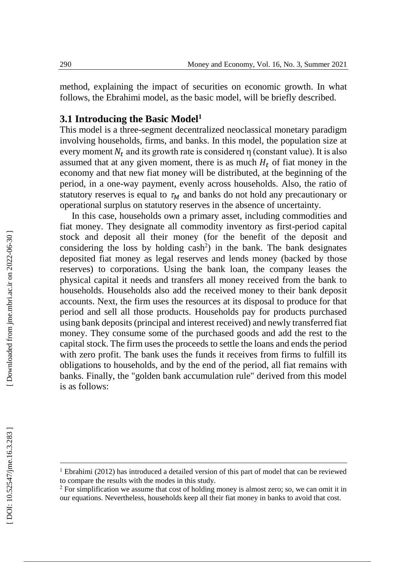method, explaining the impact of securities on economic growth. In what follows, the Ebrahimi model, as the basic model, will be briefly described.

## **3.1 Introducing the Basic Model 1**

This model is a three -segment decentralized neoclassical monetary paradigm involving households, firms, and banks. In this model, the population size at every moment  $N_t$  and its growth rate is considered  $\eta$  (constant value). It is also assumed that at any given moment, there is as much  $H_t$  of fiat money in the economy and that new fiat money will be distributed, at the beginning of the period, in a one -way payment, evenly across households. Also, the ratio of statutory reserves is equal to  $\tau_M$  and banks do not hold any precautionary or operational surplus on statutory reserves in the absence of uncertainty.

In this case, households own a primary asset, including commodities and fiat money. They designate all commodity inventory as first -period capital stock and deposit all their money (for the benefit of the deposit and considering the loss by holding cash 2 ) in the bank. The bank designates deposited fiat money as legal reserves and lends money (backed by those reserves) to corporations. Using the bank loan, the company leases the physical capital it needs and transfers all money received from the bank to households. Households also add the received money to their bank deposit accounts. Next, the firm uses the resources at its disposal to produce for that period and sell all those products. Households pay for products purchased using bank deposits (principal and interest received) and newly transferred fiat money. They consume some of the purchased goods and add the rest to the capital stock. The firm uses the proceeds to settle the loans and ends the period with zero profit. The bank uses the funds it receives from firms to fulfill its obligations to households, and by the end of the period, all fiat remains with banks. Finally, the "golden bank accumulation rule" derived from this model is as follows:

l

<sup>&</sup>lt;sup>1</sup> Ebrahimi (2012) has introduced a detailed version of this part of model that can be reviewed to compare the results with the modes in this study.

 $2$  For simplification we assume that cost of holding money is almost zero; so, we can omit it in our equations. Nevertheless, households keep all their fiat money in banks to avoid that cost.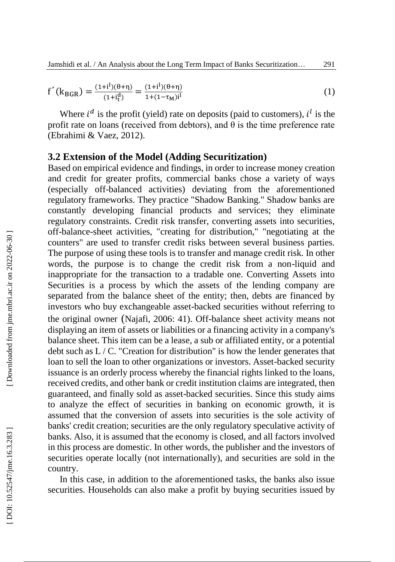$$
f'(k_{BGR}) = \frac{(1+i^{l})(\theta + \eta)}{(1+i^{l})} = \frac{(1+i^{l})(\theta + \eta)}{1+(1-\tau_{M})i^{l}}
$$
(1)

Where  $i^d$  is the profit (yield) rate on deposits (paid to customers),  $i^l$  is the profit rate on loans (received from debtors), and  $\hat{\theta}$  is the time preference rate (Ebrahimi & Vaez, 2012).

### **3.2 Extension of the Model (Adding Securitization)**

Based on empirical evidence and findings, in order to increase money creation and credit for greater profits, commercial banks chose a variety of ways (especially off-balanced activities) deviating from the aforementioned regulatory frameworks. They practice "Shadow Banking." Shadow banks are constantly developing financial products and services; they eliminate regulatory constraints. Credit risk transfer, converting assets into securities, off-balance -sheet activities, "creating for distribution," "negotiating at the counters" are used to transfer credit risks between several business parties. The purpose of using these tools is to transfer and manage credit risk. In other words, the purpose is to change the credit risk from a non -liquid and inappropriate for the transaction to a tradable one. Converting Assets into Securities is a process by which the assets of the lending company are separated from the balance sheet of the entity; then, debts are financed by investors who buy exchangeable asset -backed securities without referring to the original owner (Najafi, 2006: 41). Off -balance sheet activity means not displaying an item of assets or liabilities or a financing activity in a company's balance sheet. This item can be a lease, a sub or affiliated entity, or a potential debt such as  $L / C$ . "Creation for distribution" is how the lender generates that loan to sell the loan to other organizations or investors. Asset-backed security issuance is an orderly process whereby the financial rights linked to the loans, received credits, and other bank or credit institution claims are integrated, then guaranteed, and finally sold as asset -backed securities. Since this study aims to analyze the effect of securities in banking on economic growth, it is assumed that the conversion of assets into securities is the sole activity of banks' credit creation; securities are the only regulatory speculative activity of banks. Also, it is assumed that the economy is closed, and all factors involved in this process are domestic. In other words, the publisher and the investors of securities operate locally (not internationally), and securities are sold in the country.

In this case, in addition to the aforementioned tasks, the banks also issue securities. Households can also make a profit by buying securities issued by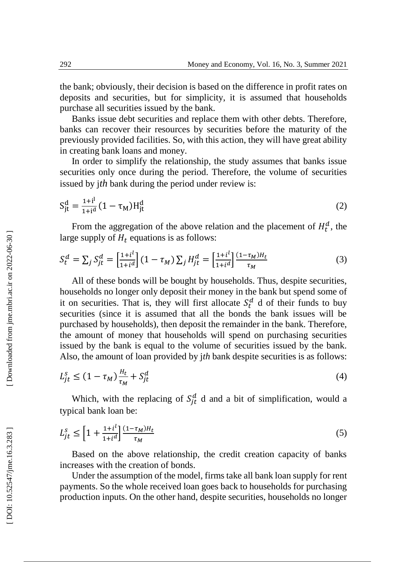the bank; obviously , their decision is based on the difference in profit rates on deposits and securities, but for simplicity, it is assumed that households purchase all securities issued by the bank.

Banks issue debt securities and replace them with other debts. Therefore, banks can recover their resources by securities before the maturity of the previously provided facilities. So, with this action, they will have great ability in creating bank loans and money.

In order to simplify the relationship, the study assumes that banks issue securities only once during the period. Therefore, the volume of securities issued by j*th* bank during the period under review is:

$$
S_{jt}^{d} = \frac{1+i^{l}}{1+i^{d}} (1 - \tau_{M}) H_{jt}^{d}
$$
 (2)

From the aggregation of the above relation and the placement of  $H_t^d$ , the large supply of  $H_t$  equations is as follows:

$$
S_t^d = \sum_j S_{jt}^d = \left[\frac{1+i^l}{1+i^d}\right] (1 - \tau_M) \sum_j H_{jt}^d = \left[\frac{1+i^l}{1+i^d}\right] \frac{(1 - \tau_M)H_t}{\tau_M} \tag{3}
$$

All of these bonds will be bought by households. Thus, despite securities, households no longer only deposit their money in the bank but spend some of it on securities. That is, they will first allocate  $S_t^d$  d of their funds to buy securities (since it is assumed that all the bonds the bank issues will be purchased by households), then deposit the remainder in the bank. Therefore, the amount of money that households will spend on purchasing securities issued by the bank is equal to the volume of securities issued by the bank. Also, the amount of loan provided by j*th* bank despite securities is as follows:

$$
L_{jt}^s \le (1 - \tau_M) \frac{H_t}{\tau_M} + S_{jt}^d \tag{4}
$$

Which, with the replacing of  $S_{jt}^d$  d and a bit of simplification, would a typical bank loan be:

$$
L_{jt}^s \le \left[1 + \frac{1 + i^l}{1 + i^d}\right] \frac{(1 - \tau_M)H_t}{\tau_M} \tag{5}
$$

Based on the above relationship, the credit creation capacity of banks increases with the creation of bonds.

Under the assumption of the model, firms take all bank loan supply for rent payments. So the whole received loan goes back to households for purchasing production inputs. On the other hand, despite securities, households no longer

Downloaded from jme.mbri.ac.ir on 2022-06-30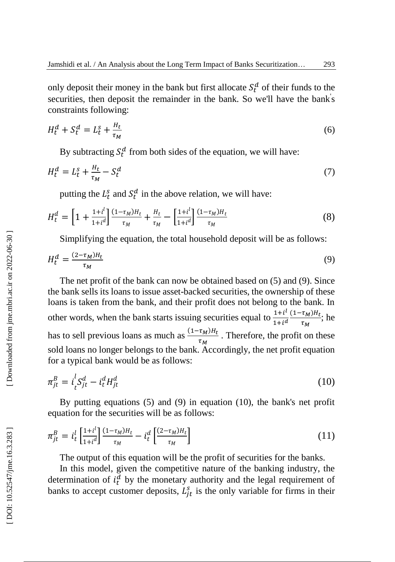only deposit their money in the bank but first allocate  $S_t^d$  of their funds to the securities, then deposit the remainder in the bank. So we'll have the bank's constraints following:

$$
H_t^d + S_t^d = L_t^s + \frac{H_t}{\tau_M} \tag{6}
$$

By subtracting  $S_t^d$  from both sides of the equation, we will have:

$$
H_t^d = L_t^s + \frac{H_t}{\tau_M} - S_t^d \tag{7}
$$

putting the  $L_t^s$  and  $S_t^d$  in the above relation, we will have:

$$
H_t^d = \left[1 + \frac{1 + i^l}{1 + i^d}\right] \frac{(1 - \tau_M)H_t}{\tau_M} + \frac{H_t}{\tau_M} - \left[\frac{1 + i^l}{1 + i^d}\right] \frac{(1 - \tau_M)H_t}{\tau_M} \tag{8}
$$

Simplifying the equation, the total household deposit will be as follows:

$$
H_t^d = \frac{(2 - \tau_M)H_t}{\tau_M} \tag{9}
$$

The net profit of the bank can now be obtained based on (5) and (9). Since the bank sells its loans to issue asset -backed securities, the ownership of these loans is taken from the bank, and their profit does not belong to the bank. In other words, when the bank starts issuing securities equal to  $\frac{1+i^l}{1+i^l}$  $1+i^d$  $(1-\tau_M)H_t$  $\frac{\tau_M \mu_l}{\tau_M}$ ; he has to sell previous loans as much as  $\frac{(1-\tau_M)H_t}{\tau_M}$  $\frac{\tau_M}{\tau_M}$ . Therefore, the profit on these sold loans no longer belongs to the bank. Accordingly, the net profit equation for a typical bank would be as follows:

$$
\pi_{jt}^B = i_t^l S_{jt}^d - i_t^d H_{jt}^d \tag{10}
$$

By putting equations (5) and (9) in equation (10), the bank's net profit equation for the securities will be as follows:

$$
\pi_{jt}^B = i_t^l \left[ \frac{1 + i^l}{1 + i^d} \right] \frac{(1 - \tau_M) H_t}{\tau_M} - i_t^d \left[ \frac{(2 - \tau_M) H_t}{\tau_M} \right] \tag{11}
$$

The output of this equation will be the profit of securities for the banks.

In this model, given the competitive nature of the banking industry, the determination of  $i_t^d$  by the monetary authority and the legal requirement of banks to accept customer deposits,  $L_{jt}^s$  is the only variable for firms in their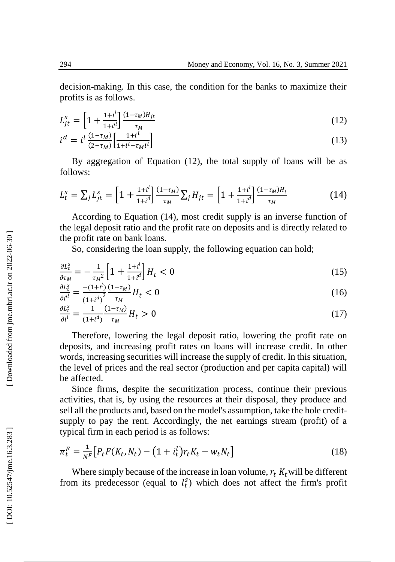decision -making. In this case, the condition for the banks to maximize their profits is as follows.

$$
L_{jt}^{s} = \left[1 + \frac{1 + i^{l}}{1 + i^{d}}\right] \frac{(1 - \tau_M)H_{jt}}{\tau_M}
$$
(12)

$$
i^d = i^l \frac{(1 - \tau_M)}{(2 - \tau_M)} \left[ \frac{1 + i^l}{1 + i^l - \tau_M i^l} \right] \tag{13}
$$

By aggregation of Equation (12) , the total supply of loans will be as follows:

$$
L_t^s = \sum_j L_{jt}^s = \left[1 + \frac{1 + i^l}{1 + i^d}\right] \frac{(1 - \tau_M)}{\tau_M} \sum_j H_{jt} = \left[1 + \frac{1 + i^l}{1 + i^d}\right] \frac{(1 - \tau_M)H_t}{\tau_M} \tag{14}
$$

According to Equation (14), most credit supply is an inverse function of the legal deposit ratio and the profit rate on deposits and is directly related to the profit rate on bank loans.

So, considering the loan supply, the following equation can hold;

$$
\frac{\partial L_t^s}{\partial \tau_M} = -\frac{1}{\tau_M^2} \left[ 1 + \frac{1 + i^l}{1 + i^d} \right] H_t < 0 \tag{15}
$$

$$
\frac{\partial L_t^s}{\partial i^d} = \frac{-(1+i^l)}{(1+i^d)^2} \frac{(1-\tau_M)}{\tau_M} H_t < 0 \tag{16}
$$

$$
\frac{\partial L_t^s}{\partial t^l} = \frac{1}{(1+t^d)} \frac{(1-\tau_M)}{\tau_M} H_t > 0 \tag{17}
$$

Therefore, lowering the legal deposit ratio, lowering the profit rate on deposits, and increasing profit rates on loans will increase credit. In other words, increasing securities will increase the supply of credit. In this situation, the level of prices and the real sector (production and per capita capital) will be affected.

Since firms, despite the securitization process, continue their previous activities, that is, by using the resources at their disposal, they produce and sell all the products and, based on the model's assumption, take the hole creditsupply to pay the rent. Accordingly, the net earnings stream (profit) of a typical firm in each period is as follows:

$$
\pi_t^F = \frac{1}{N^F} \left[ P_t F(K_t, N_t) - \left( 1 + i_t^l \right) r_t K_t - w_t N_t \right] \tag{18}
$$

Where simply because of the increase in loan volume,  $r_t K_t$  will be different from its predecessor (equal to  $l_t^s$ ) which does not affect the firm's profit

Downloaded from jme.mbri.ac.ir on 2022-06-30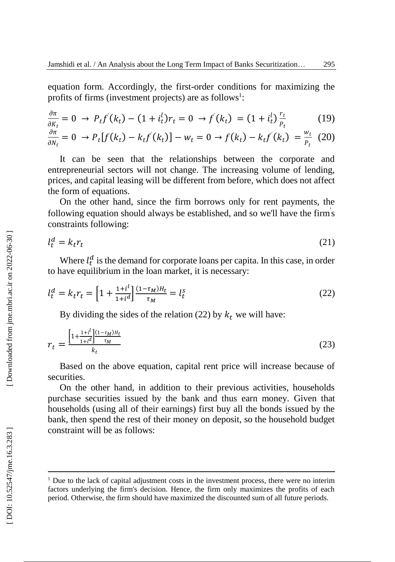equation form. Accordingly, the first -order conditions for maximizing the profits of firms (investment projects) are as follows<sup>1</sup>:

$$
\frac{\partial \pi}{\partial K_t} = 0 \to P_t f'(k_t) - (1 + i_t^l) r_t = 0 \to f'(k_t) = (1 + i_t^l) \frac{r_t}{P_t}
$$
(19)

$$
\frac{\partial \pi}{\partial N_t} = 0 \to P_t[f(k_t) - k_t f'(k_t)] - w_t = 0 \to f(k_t) - k_t f'(k_t) = \frac{w_t}{P_t} (20)
$$

It can be seen that the relationships between the corporate and entrepreneurial sectors will not change. The increasing volume of lending, prices, and capital leasing will be different from before, which does not affect the form of equations.

On the other hand, since the firm borrows only for rent payments, the following equation should always be established, and so we'll have the firm' s constraints following:

$$
l_t^d = k_t r_t \tag{21}
$$

Where  $l_t^d$  is the demand for corporate loans per capita. In this case, in order to have equilibrium in the loan market, it is necessary:

$$
l_t^d = k_t r_t = \left[1 + \frac{1 + i^l}{1 + i^d}\right] \frac{(1 - \tau_M)H_t}{\tau_M} = l_t^s \tag{22}
$$

By dividing the sides of the relation (22) by  $k_t$  we will have:

$$
r_{t} = \frac{\left[1 + \frac{1 + i^{l}}{1 + i^{d}}\right] \frac{(1 - \tau_{M})H_{t}}{\tau_{M}}}{k_{t}}
$$
(23)

Based on the above equation, capital rent price will increase because of securities.

On the other hand, in addition to their previous activities, households purchase securities issued by the bank and thus earn money. Given that households (using all of their earnings) first buy all the bonds issued by the bank, then spend the rest of their money on deposit, so the household budget constraint will be as follows:

 $\overline{a}$ 

<sup>&</sup>lt;sup>1</sup> Due to the lack of capital adjustment costs in the investment process, there were no interim factors underlying the firm's decision. Hence, the firm only maximizes the profits of each period. Otherwise, the firm should have maximized the discounted sum of all future periods.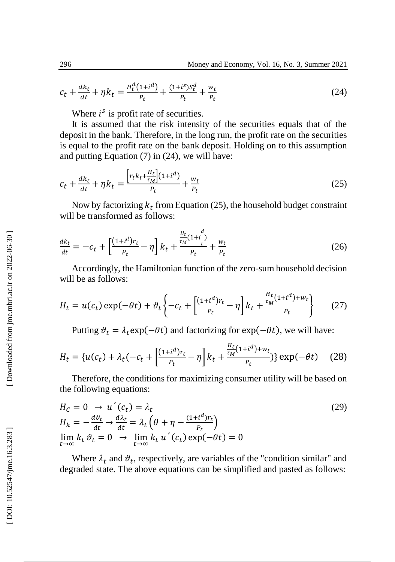$$
c_t + \frac{dk_t}{dt} + \eta k_t = \frac{H_t^d(1 + i^d)}{P_t} + \frac{(1 + i^s)S_t^d}{P_t} + \frac{w_t}{P_t}
$$
(24)

Where  $i^s$  is profit rate of securities.

It is assumed that the risk intensity of the securities equals that of the deposit in the bank. Therefore, in the long run , the profit rate on the securities is equal to the profit rate on the bank deposit. Holding on to this assumption and putting Equation (7) in (24), we will have:

$$
c_t + \frac{dk_t}{dt} + \eta k_t = \frac{\left[r_t k_t + \frac{H_t}{\tau_M}\right](1 + i^d)}{P_t} + \frac{w_t}{P_t}
$$
\n
$$
(25)
$$

Now by factorizing  $k_t$  from Equation (25), the household budget constraint will be transformed as follows:

$$
\frac{dk_t}{dt} = -c_t + \left[\frac{(1+t^d)r_t}{p_t} - \eta\right]k_t + \frac{\frac{H_t}{\tau_M}(1+t^d)}{p_t} + \frac{w_t}{p_t} \tag{26}
$$

Accordingly, the Hamiltonian function of the zero -sum household decision will be as follows:

$$
H_t = u(c_t) \exp(-\theta t) + \vartheta_t \left\{ -c_t + \left[ \frac{(1+i^d)r_t}{P_t} - \eta \right] k_t + \frac{\frac{H_t}{\tau_M}(1+i^d) + w_t}{P_t} \right\} \tag{27}
$$

Putting  $\vartheta_t = \lambda_t \exp(-\theta t)$  and factorizing for  $\exp(-\theta t)$ , we will have:

$$
H_t = \{u(c_t) + \lambda_t(-c_t + \left[\frac{(1+i^d)r_t}{P_t} - \eta\right]k_t + \frac{\frac{H_t}{\tau_M}(1+i^d) + w_t}{P_t})\} \exp(-\theta t) \tag{28}
$$

Therefore, the conditions for maximizing consumer utility will be based on the following equations:

$$
H_C = 0 \rightarrow u'(c_t) = \lambda_t
$$
  
\n
$$
H_k = -\frac{d\theta_t}{dt} \rightarrow \frac{d\lambda_t}{dt} = \lambda_t \left(\theta + \eta - \frac{(1 + i^d)r_t}{p_t}\right)
$$
  
\n
$$
\lim_{t \to \infty} k_t \theta_t = 0 \rightarrow \lim_{t \to \infty} k_t u'(c_t) \exp(-\theta t) = 0
$$
\n(29)

Where  $\lambda_t$  and  $\vartheta_t$ , respectively, are variables of the "condition similar" and degraded state. The above equations can be simplified and pasted as follows:

[Downloaded from jme.mbri.ac.ir on 2022-06-30]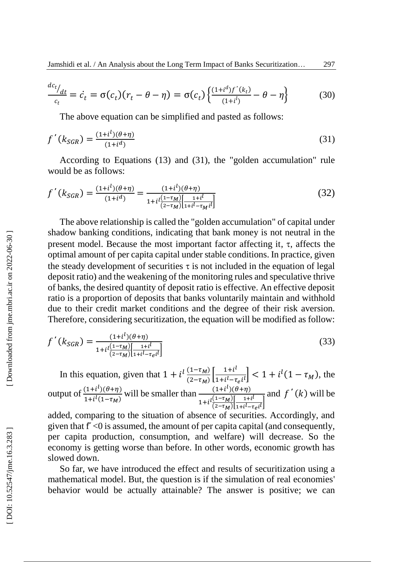$$
\frac{dc_t}{c_t} = \dot{c}_t = \sigma(c_t)(r_t - \theta - \eta) = \sigma(c_t) \left\{ \frac{(1 + i^d)f'(k_t)}{(1 + i^d)} - \theta - \eta \right\}
$$
(30)

The above equation can be simplified and pasted as follows:

$$
f'(k_{SGR}) = \frac{(1+i^{l})(\theta + \eta)}{(1+i^{d})}
$$
\n(31)

According to Equations (13) and (31), the "golden accumulation" rule would be as follows:

$$
f'(k_{SGR}) = \frac{(1+i^{l})(\theta + \eta)}{(1+i^{d})} = \frac{(1+i^{l})(\theta + \eta)}{1+i^{l}\frac{(1-\tau_{M})}{(2-\tau_{M})}\left[\frac{1+i^{l}}{1+i^{l}-\tau_{M}i^{l}}\right]}
$$
(32)

The above relationship is called the "golden accumulation " of capital under shadow banking conditions, indicating that bank money is not neutral in the present model. Because the most important factor affecting it,  $\tau$ , affects the optimal amount of per capita capital under stable conditions. In practice, given the steady development of securities  $\tau$  is not included in the equation of legal deposit ratio) and the weakening of the monitoring rules and speculative thrive of banks, the desired quantity of deposit ratio is effective. An effective deposit ratio is a proportion of deposits that banks voluntarily maintain and withhold due to their credit market conditions and the degree of their risk aversion. Therefore, considering securitization, the equation will be modified as follow:

$$
f'(k_{SGR}) = \frac{(1+i^{l})(\theta + \eta)}{1+i^{l}\frac{(1-\tau_M)}{(2-\tau_M)\left[1+i^{l}-\tau_{ei}i^{l}\right]}}
$$
(33)

In this equation, given that  $1 + i^l \frac{(1 - \tau_M)}{(2 - \tau_M)}$  $\frac{(1-\tau_M)}{(2-\tau_M)}\left[\frac{1+i^l}{1+i^l-\tau}\right]$  $\left|\frac{1+1^{i}}{1+i^{i}-\tau_{e}i^{i}}\right|$  < 1 +  $i^{l}(1-\tau_{M})$ , the output of  $\frac{(1+i^l)(\theta+\eta)}{1+i^l(1-\tau)}$  $\frac{(1+i^{l})(\theta+\eta)}{1+i^{l}(1-\tau_{M})}$  will be smaller than  $\frac{(1+i^{l})(\theta+\eta)}{1+i^{l}\frac{(1-\tau_{M})}{l}+1}$  $1+i \frac{l(1-\tau_M)}{l(2-\tau_M)}$  $\frac{(1-\tau_M)}{(2-\tau_M)}\left[\frac{1+i^l}{1+i^l-\tau}\right]$  $\frac{1+i}{1+i^l - \tau_e i^l}$ and  $f'(k)$  will be

added, comparing to the situation of absence of securities. Accordingly, and given that f' <0 is assumed, the amount of per capital capital (and consequently, per capita production, consumption, and welfare) will decrease. So the economy is getting worse than before. In other words, economic growth has slowed down.

So far, we have introduced the effect and results of securiti zation using a mathematical model. But, the question is if the simulation of real economies' behavior would be actually attainable? The answer is positive; we can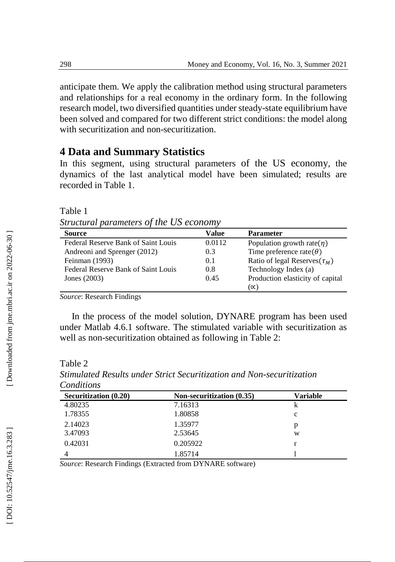anticipate them. We apply the calibration method using structural parameters and relationships for a real economy in the ordinary form. In the following research model, two diversified quantities under steady -state equilibrium have been solved and compared for two different strict conditions: the model along with securitization and non -securitization.

# **4 Data and Summary Statistics**

In this segment, using structural parameters of the US economy, the dynamics of the last analytical model have been simulated; results are recorded in Table 1.

Table 1

*Structural parameters of the US economy*

| <b>Source</b>                       | Value  | <b>Parameter</b>                   |
|-------------------------------------|--------|------------------------------------|
| Federal Reserve Bank of Saint Louis | 0.0112 | Population growth rate $(\eta)$    |
| Andreoni and Sprenger (2012)        | 0.3    | Time preference rate( $\theta$ )   |
| Feinman (1993)                      | 0.1    | Ratio of legal Reserves $(\tau_M)$ |
| Federal Reserve Bank of Saint Louis | 0.8    | Technology Index (a)               |
| Jones $(2003)$                      | 0.45   | Production elasticity of capital   |
|                                     |        | $(\propto)$                        |

*Source*: Research Findings

In the process of the model solution, DYNARE program has been used under Matlab 4.6.1 software. The stimulated variable with securitization as well as non -securitization obtained as following in Table 2:

Table 2

| <b>Securitization (0.20)</b> | Non-securitization (0.35) | <b>Variable</b> |
|------------------------------|---------------------------|-----------------|
| 4.80235                      | 7.16313                   |                 |
| 1.78355                      | 1.80858                   | c               |
| 2.14023                      | 1.35977                   | p               |
| 3.47093                      | 2.53645                   | W               |
| 0.42031                      | 0.205922                  |                 |
| 4                            | 1.85714                   |                 |

*Stimulated Results under Strict Securitization and Non -securitization Conditions*

*Source*: Research Findings (Extracted from DYNARE software)

Downloaded from jme.mbri.ac.ir on 2022-06-30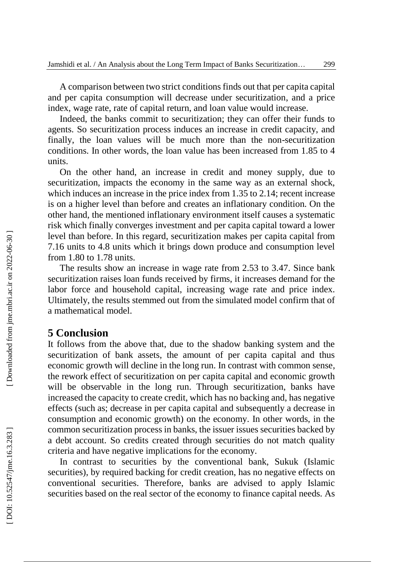A comparison between two strict conditions finds out that per capita capital and per capita consumption will decrease under securitization, and a price index, wage rate, rate of capital return, and loan value would increase.

Indeed, the banks commit to securitization ; they can offer their funds to agents. So securitization process induces an increase in credit capacity, and finally , the loan values will be much more than the non -securitization conditions. In other words, the loan value has been increased from 1.85 to 4 units.

On the other hand, an increase in credit and money supply, due to securitization, impacts the economy in the same way as an external shock, which induces an increase in the price index from 1.35 to 2.14; recent increase is on a higher level than before and creates an inflationary condition. On the other hand, the mentioned inflationary environment itself cause s a systematic risk which finally converge s investment and per capita capital toward a lower level than before. In this regard, securitization makes per capita capital from 7.16 units to 4.8 units which it brings down produce and consumption level from 1.80 to 1.78 units.

The results show an increase in wage rate from 2.53 to 3.47. Since bank securitization raises loan funds received by firms, it increases demand for the labor force and household capital, increasing wage rate and price index. Ultimately, the results stemmed out from the simulated model confirm that of a mathematical model.

### **5 Conclusion**

It follows from the above that, due to the shadow banking system and the securitization of bank assets, the amount of per capita capital and thus economic growth will decline in the long run. In contrast with common sense, the rework effect of securitization on per capita capital and economic growth will be observable in the long run. Through securitization, banks have increased the capacity to create credit, which has no backing and, has negative effects (such as; decrease in per capita capital and subsequently a decrease in consumption and economic growth) on the economy. In other words, in the common securitization process in banks, the issuer issues securities backed by a debt account. So credits created through securities do not match quality criteria and have negative implications for the economy.

In contrast to securities by the conventional bank, Sukuk (Islamic securities), by required backing for credit creation, has no negative effects on conventional securities. Therefore, banks are advised to apply Islamic securities based on the real sector of the economy to finance capital needs. As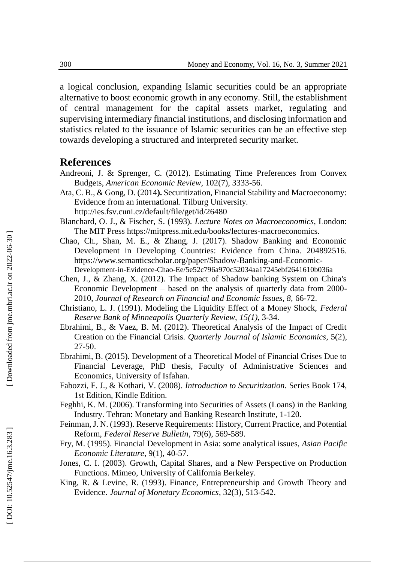a logical conclusion, expanding Islamic securities could be an appropriate alternative to boost economic growth in any economy. Still, the establishment of central management for the capital assets market, regulating and supervising intermediary financial institutions, and disclosing information and statistics related to the issuance of Islamic securities can be an effective step towards developing a structured and interpreted security market.

#### **References**

- Andreoni, J. & Sprenger, C. (2012). Estimating Time Preferences from Convex Budgets, *[American Economic Review,](https://www.aeaweb.org/issues/289)* 102(7), 3333 -56 .
- Ata, C. B., & Gong, D. (2014**).** Securitization, Financial Stability and Macroeconomy: Evidence from an international. Tilburg University. http://ies.fsv.cuni.cz/default/file/get/id/26480
- Blanchard, O. J., & Fischer, S. (1993). *Lecture Notes on Macroeconomics*, London: The MIT Press https://mitpress.mit.edu/books/lectures -macroeconomics .
- Chao, Ch., Shan, M. E., & Zhang, J. (2017). Shadow Banking and Economic Development in Developing Countries: Evidence from China. 204892516. https://www.semanticscholar.org/paper/Shadow-Banking-and-Economic-Development -in -Evidence -Chao -Ee/5e52c796a970c52034aa17245ebf2641610b036a
- Chen, J., & Zhang, X. (2012). The Impact of Shadow banking System on China's Economic Development – based on the analysis of quarterly data from 2000 - 2010, *Journal of Research on Financial and Economic Issues, 8,* 66 -72.
- Christiano, L. J. (1991). Modeling the Liquidity Effect of a Money Shock, *Federal Reserve Bank of Minneapolis Quarterly Review, 15 ( 1),* 3 -34 *.*
- Ebrahimi, B., & Vaez, B. M. (2012). Theoretical Analysis of the Impact of Credit Creation on the Financial Crisis. *Quarterly Journal of Islamic Economics*, 5(2), 27 -50.
- Ebrahimi, B. (2015). Development of a Theoretical Model of Financial Crises Due to Financial Leverage, PhD thesis, Faculty of Administrative Sciences and Economics, University of Isfahan.
- Fabozzi, F. J., & Kothari, V. (2008). *Introduction to Securitization.* Series Book 174, 1st Edition, Kindle Edition.
- Feghhi, K. M. (2006). Transforming into Securities of Assets (Loans) in the Banking Industry. Tehran: Monetary and Banking Research Institute, 1 -120.
- Feinman, J. N. (1993). Reserve Requirements: History, Current Practice, and Potential Reform, *Federal Reserve Bulletin*, 79(6), 569-589.
- Fry, M. (1995). Financial Development in Asia: some analytical issues, *Asian Pacific Economic Literature*, 9(1), 40 -57.
- Jones, C. I. (2003). Growth, Capital Shares, and a New Perspective on Production Functions. Mimeo, University of California Berkeley.
- King, R. & Levine, R. (1993). Finance, Entrepreneurship and Growth Theory and Evidence. *Journal of Monetary Economics*, 32(3), 513 -542.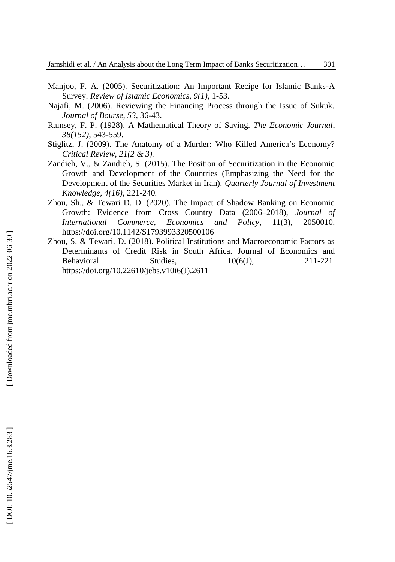- Manjoo, F. A. (2005). Securitization: An Important Recipe for Islamic Banks -A Survey. *Review of Islamic Economics, 9(1),* 1 -53.
- Najafi, M. (2006). Reviewing the Financing Process through the Issue of Sukuk. *Journal of Bourse*, *53*, 36 -43.
- Ramsey, F. P. (1928). A Mathematical Theory of Saving. *The Economic Journal*, *38(152)*, 543 -559.
- Stiglitz, J. (2009). The Anatomy of a Murder: Who Killed America 's Economy? *Critical Review, 21(2 & 3).*
- Zandieh, V., & Zandieh, S. (2015). The Position of Securitization in the Economic Growth and Development of the Countries (Emphasizing the Need for the Development of the Securities Market in Iran). *Quarterly Journal of Investment Knowledge, 4(16),* 221 -240 *.*
- Zhou, Sh., & Tewari D. D. (2020). The Impact of Shadow Banking on Economic Growth: Evidence from Cross Country Data (2006 –2018), *Journal of International Commerce, Economics and Policy* , 11(3), 2050010. <https://doi.org/10.1142/S1793993320500106>
- Zhou, S. & Tewari. D. (2018). Political Institutions and Macroeconomic Factors as Determinants of Credit Risk in South Africa. [Journal of Economics and](https://ojs.amhinternational.com/index.php/jebs/index)  [Behavioral Studies,](https://ojs.amhinternational.com/index.php/jebs/index)  $10(6)$ , 211-221. <https://doi.org/10.22610/jebs.v10i6\(J\).2611>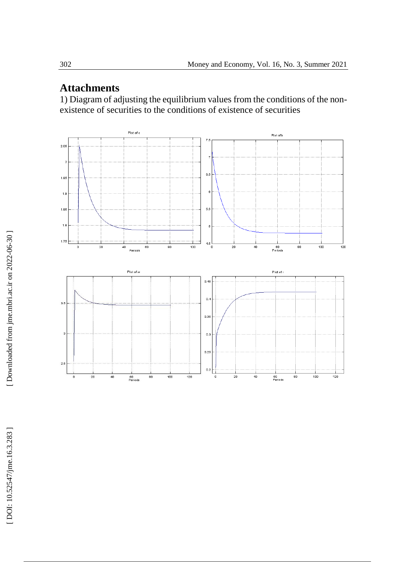# **Attachments**

1) Diagram of adjusting the equilibrium values from the conditions of the non existence of securities to the conditions of existence of securities

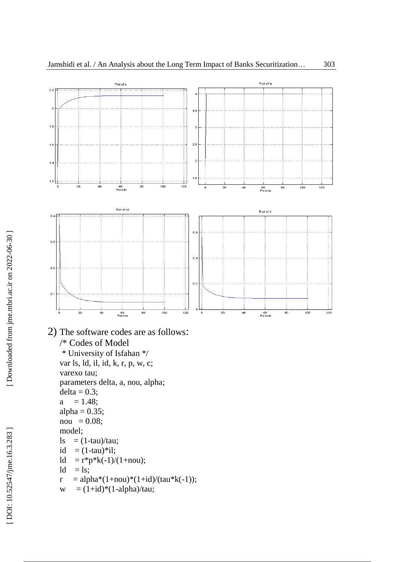



2) The software codes are as follows :

```
/* Codes of Model
* University of Isfahan */
var ls, ld, il, id, k, r, p, w, c;
varexo tau;
parameters delta, a, nou, alpha;
delta = 0.3;
a = 1.48;
alpha = 0.35;
nou = 0.08;model;
ls = (1-tau)/tau;id = (1-tau)*il;
ld = r*p*k(-1)/(1+nou);ld = ls;r = \text{alpha}*(1+\text{nou})*(1+\text{id})/(\text{tau}*(-1));
```
 $w = (1 + id)^*(1 - alpha)/tau;$